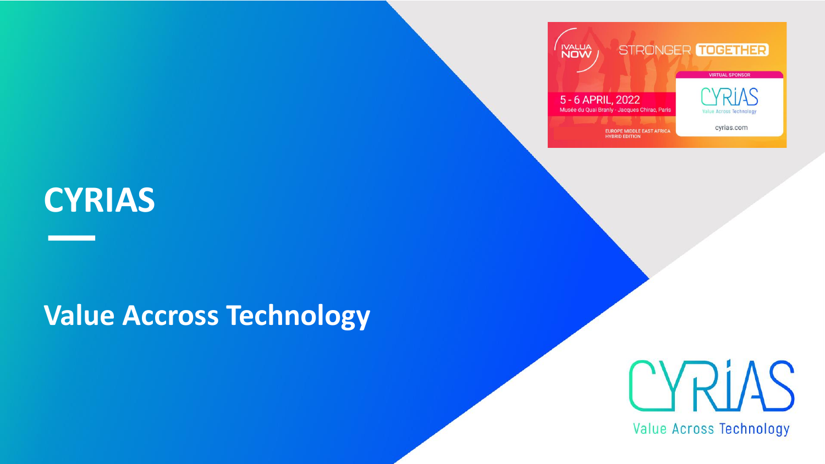# **CYRIAS**

## **Value Accross Technology**



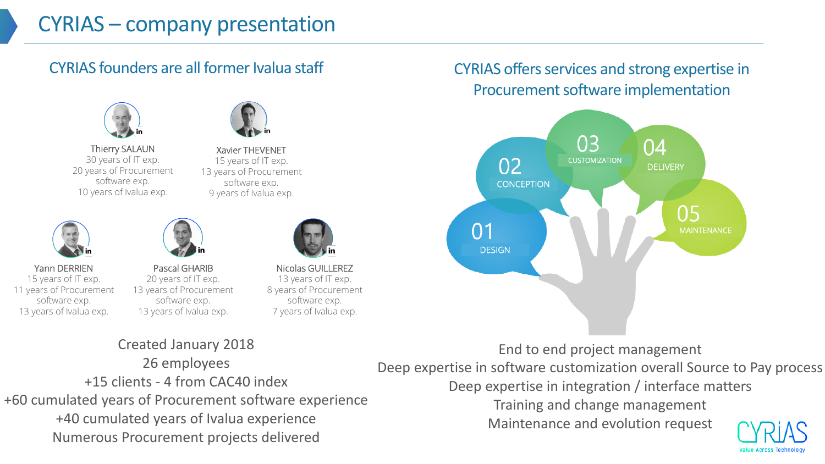#### CYRIAS founders are all former Ivalua staff



Thierry SALAUN 30 years of IT exp. 20 years of Procurement software exp. 10 years of Ivalua exp.



Xavier THEVENET 15 years of IT exp. 13 years of Procurement software exp. 9 years of Ivalua exp.



Yann DERRIEN 15 years of IT exp. 11 years of Procurement software exp. 13 years of Ivalua exp.



Pascal GHARIB 20 years of IT exp. 13 years of Procurement software exp. 13 years of Ivalua exp.



Nicolas GUILLEREZ 13 years of IT exp. 8 years of Procurement software exp. 7 years of Ivalua exp.

#### Created January 2018 26 employees +15 clients - 4 from CAC40 index +60 cumulated years of Procurement software experience +40 cumulated years of Ivalua experience Numerous Procurement projects delivered

#### CYRIAS offers services and strong expertise in Procurement software implementation



End to end project management

Deep expertise in software customization overall Source to Pay process

Deep expertise in integration / interface matters

Training and change management

Maintenance and evolution request

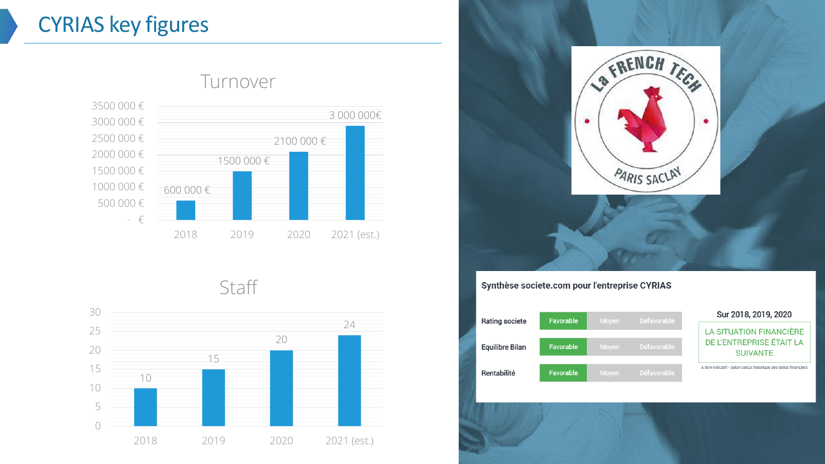## CYRIAS key figures



#### Turnover

**Staff** 





#### Synthèse societe.com pour l'entreprise CYRIAS

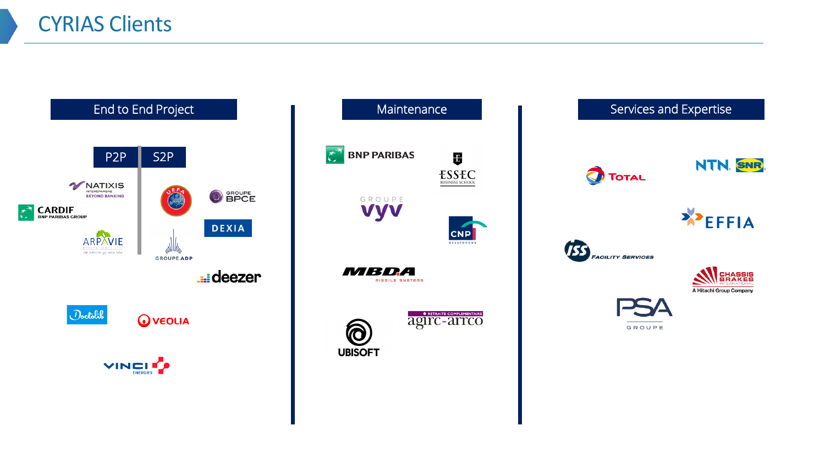



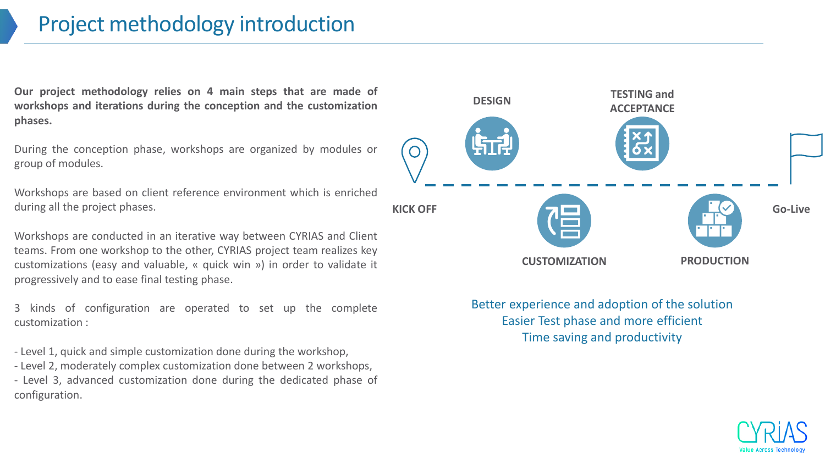### Project methodology introduction

**Our project methodology relies on 4 main steps that are made of workshops and iterations during the conception and the customization phases.**

During the conception phase, workshops are organized by modules or group of modules.

Workshops are based on client reference environment which is enriched during all the project phases.

Workshops are conducted in an iterative way between CYRIAS and Client teams. From one workshop to the other, CYRIAS project team realizes key customizations (easy and valuable, « quick win ») in order to validate it progressively and to ease final testing phase.

3 kinds of configuration are operated to set up the complete customization :

- Level 1, quick and simple customization done during the workshop, - Level 2, moderately complex customization done between 2 workshops, - Level 3, advanced customization done during the dedicated phase of configuration.



Better experience and adoption of the solution Easier Test phase and more efficient Time saving and productivity

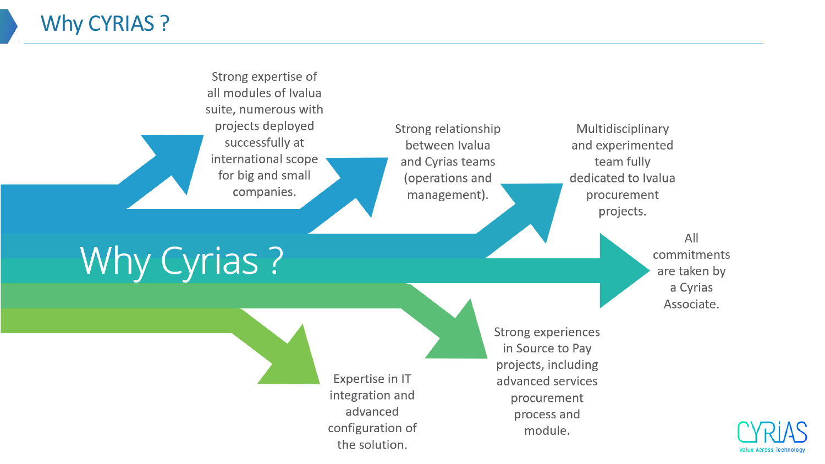## Why CYRIAS ?